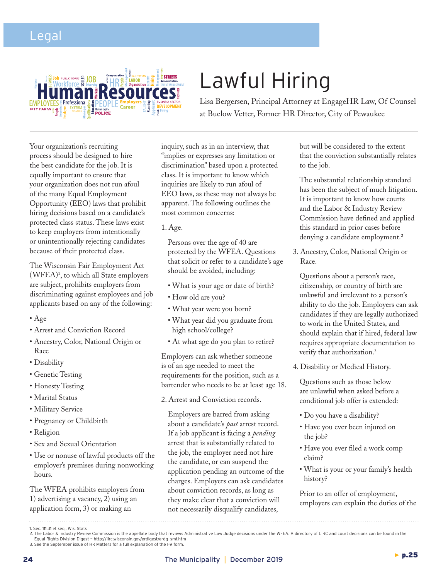## Legal



## Lawful Hiring

Lisa Bergersen, Principal Attorney at EngageHR Law, Of Counsel at Buelow Vetter, Former HR Director, City of Pewaukee

Your organization's recruiting process should be designed to hire the best candidate for the job. It is equally important to ensure that your organization does not run afoul of the many Equal Employment Opportunity (EEO) laws that prohibit hiring decisions based on a candidate's protected class status. These laws exist to keep employers from intentionally or unintentionally rejecting candidates because of their protected class.

The Wisconsin Fair Employment Act (WFEA)1 , to which all State employers are subject, prohibits employers from discriminating against employees and job applicants based on any of the following:

- Age
- Arrest and Conviction Record
- Ancestry, Color, National Origin or Race
- Disability
- Genetic Testing
- Honesty Testing
- Marital Status
- Military Service
- Pregnancy or Childbirth
- Religion
- Sex and Sexual Orientation
- Use or nonuse of lawful products off the employer's premises during nonworking hours.

The WFEA prohibits employers from 1) advertising a vacancy, 2) using an application form, 3) or making an

inquiry, such as in an interview, that "implies or expresses any limitation or discrimination" based upon a protected class. It is important to know which inquiries are likely to run afoul of EEO laws, as these may not always be apparent. The following outlines the most common concerns:

1. Age.

 Persons over the age of 40 are protected by the WFEA. Questions that solicit or refer to a candidate's age should be avoided, including:

- What is your age or date of birth?
- How old are you?
- What year were you born?
- What year did you graduate from high school/college?
- At what age do you plan to retire?

Employers can ask whether someone is of an age needed to meet the requirements for the position, such as a bartender who needs to be at least age 18.

2. Arrest and Conviction records.

 Employers are barred from asking about a candidate's *past* arrest record. If a job applicant is facing a *pending* arrest that is substantially related to the job, the employer need not hire the candidate, or can suspend the application pending an outcome of the charges. Employers can ask candidates about conviction records, as long as they make clear that a conviction will not necessarily disqualify candidates,

but will be considered to the extent that the conviction substantially relates to the job.

 The substantial relationship standard has been the subject of much litigation. It is important to know how courts and the Labor & Industry Review Commission have defined and applied this standard in prior cases before denying a candidate employment.**<sup>2</sup>**

3. Ancestry, Color, National Origin or Race.

 Questions about a person's race, citizenship, or country of birth are unlawful and irrelevant to a person's ability to do the job. Employers can ask candidates if they are legally authorized to work in the United States, and should explain that if hired, federal law requires appropriate documentation to verify that authorization.<sup>3</sup>

4. Disability or Medical History.

 Questions such as those below are unlawful when asked before a conditional job offer is extended:

- Do you have a disability?
- Have you ever been injured on the job?
- Have you ever filed a work comp claim?
- What is your or your family's health history?

 Prior to an offer of employment, employers can explain the duties of the

<sup>1.</sup> Sec. 111.31 et seq., Wis. Stats

<sup>2.</sup> The Labor & Industry Review Commission is the appellate body that reviews Administrative Law Judge decisions under the WFEA. A directory of LIRC and court decisions can be found in the<br>Equal Rights Division Digest ~ htt

<sup>3.</sup> See the September issue of HR Matters for a full explanation of the I-9 form.